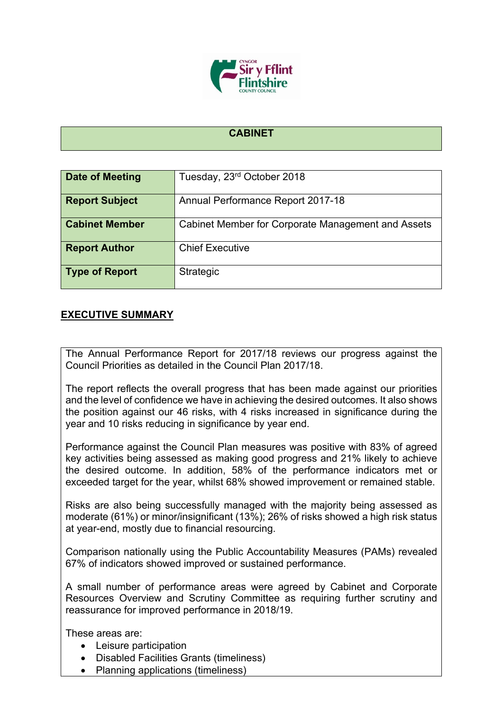

## **CABINET**

| Date of Meeting       | Tuesday, 23rd October 2018                         |
|-----------------------|----------------------------------------------------|
| <b>Report Subject</b> | Annual Performance Report 2017-18                  |
| <b>Cabinet Member</b> | Cabinet Member for Corporate Management and Assets |
| <b>Report Author</b>  | <b>Chief Executive</b>                             |
| <b>Type of Report</b> | <b>Strategic</b>                                   |

## **EXECUTIVE SUMMARY**

The Annual Performance Report for 2017/18 reviews our progress against the Council Priorities as detailed in the Council Plan 2017/18.

The report reflects the overall progress that has been made against our priorities and the level of confidence we have in achieving the desired outcomes. It also shows the position against our 46 risks, with 4 risks increased in significance during the year and 10 risks reducing in significance by year end.

Performance against the Council Plan measures was positive with 83% of agreed key activities being assessed as making good progress and 21% likely to achieve the desired outcome. In addition, 58% of the performance indicators met or exceeded target for the year, whilst 68% showed improvement or remained stable.

Risks are also being successfully managed with the majority being assessed as moderate (61%) or minor/insignificant (13%); 26% of risks showed a high risk status at year-end, mostly due to financial resourcing.

Comparison nationally using the Public Accountability Measures (PAMs) revealed 67% of indicators showed improved or sustained performance.

A small number of performance areas were agreed by Cabinet and Corporate Resources Overview and Scrutiny Committee as requiring further scrutiny and reassurance for improved performance in 2018/19.

These areas are:

- Leisure participation
- Disabled Facilities Grants (timeliness)
- Planning applications (timeliness)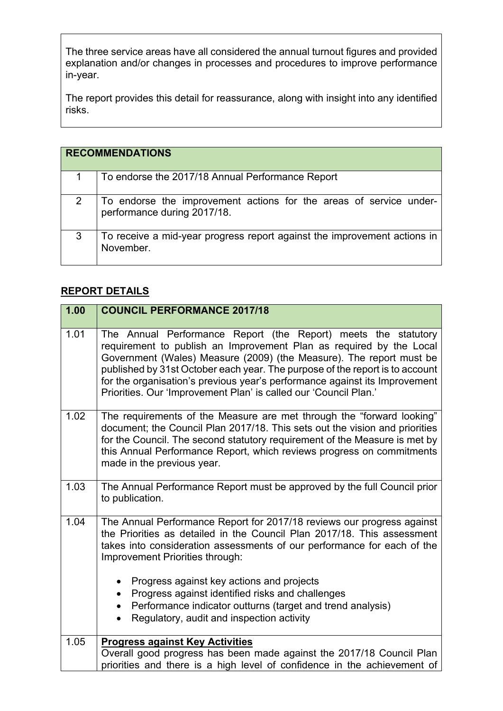The three service areas have all considered the annual turnout figures and provided explanation and/or changes in processes and procedures to improve performance in-year.

The report provides this detail for reassurance, along with insight into any identified risks.

| <b>RECOMMENDATIONS</b> |                                                                                                   |
|------------------------|---------------------------------------------------------------------------------------------------|
|                        | To endorse the 2017/18 Annual Performance Report                                                  |
| 2                      | To endorse the improvement actions for the areas of service under-<br>performance during 2017/18. |
| 3                      | To receive a mid-year progress report against the improvement actions in<br>November.             |

## **REPORT DETAILS**

| 1.00 | <b>COUNCIL PERFORMANCE 2017/18</b>                                                                                                                                                                                                                                                                                                                                                                                                             |
|------|------------------------------------------------------------------------------------------------------------------------------------------------------------------------------------------------------------------------------------------------------------------------------------------------------------------------------------------------------------------------------------------------------------------------------------------------|
| 1.01 | The Annual Performance Report (the Report) meets the statutory<br>requirement to publish an Improvement Plan as required by the Local<br>Government (Wales) Measure (2009) (the Measure). The report must be<br>published by 31st October each year. The purpose of the report is to account<br>for the organisation's previous year's performance against its Improvement<br>Priorities. Our 'Improvement Plan' is called our 'Council Plan.' |
| 1.02 | The requirements of the Measure are met through the "forward looking"<br>document; the Council Plan 2017/18. This sets out the vision and priorities<br>for the Council. The second statutory requirement of the Measure is met by<br>this Annual Performance Report, which reviews progress on commitments<br>made in the previous year.                                                                                                      |
| 1.03 | The Annual Performance Report must be approved by the full Council prior<br>to publication.                                                                                                                                                                                                                                                                                                                                                    |
| 1.04 | The Annual Performance Report for 2017/18 reviews our progress against<br>the Priorities as detailed in the Council Plan 2017/18. This assessment<br>takes into consideration assessments of our performance for each of the<br>Improvement Priorities through:                                                                                                                                                                                |
|      | Progress against key actions and projects<br>$\bullet$<br>Progress against identified risks and challenges<br>$\bullet$<br>Performance indicator outturns (target and trend analysis)<br>$\bullet$<br>Regulatory, audit and inspection activity                                                                                                                                                                                                |
| 1.05 | <b>Progress against Key Activities</b><br>Overall good progress has been made against the 2017/18 Council Plan<br>priorities and there is a high level of confidence in the achievement of                                                                                                                                                                                                                                                     |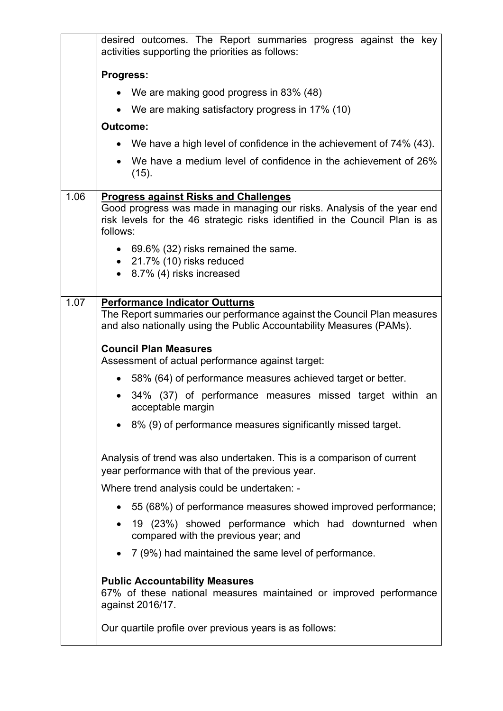|      | desired outcomes. The Report summaries progress against the key<br>activities supporting the priorities as follows:                                                                     |
|------|-----------------------------------------------------------------------------------------------------------------------------------------------------------------------------------------|
|      | Progress:                                                                                                                                                                               |
|      | • We are making good progress in 83% (48)                                                                                                                                               |
|      | • We are making satisfactory progress in 17% (10)                                                                                                                                       |
|      | <b>Outcome:</b>                                                                                                                                                                         |
|      | • We have a high level of confidence in the achievement of 74% (43).                                                                                                                    |
|      | We have a medium level of confidence in the achievement of 26%<br>(15).                                                                                                                 |
| 1.06 | <b>Progress against Risks and Challenges</b>                                                                                                                                            |
|      | Good progress was made in managing our risks. Analysis of the year end<br>risk levels for the 46 strategic risks identified in the Council Plan is as<br>follows:                       |
|      | • 69.6% (32) risks remained the same.                                                                                                                                                   |
|      | $\bullet$ 21.7% (10) risks reduced<br>8.7% (4) risks increased                                                                                                                          |
|      |                                                                                                                                                                                         |
| 1.07 | <b>Performance Indicator Outturns</b><br>The Report summaries our performance against the Council Plan measures<br>and also nationally using the Public Accountability Measures (PAMs). |
|      | <b>Council Plan Measures</b><br>Assessment of actual performance against target:                                                                                                        |
|      | 58% (64) of performance measures achieved target or better.<br>$\bullet$                                                                                                                |
|      | 34% (37) of performance measures missed target within an<br>acceptable margin                                                                                                           |
|      | • 8% (9) of performance measures significantly missed target.                                                                                                                           |
|      | Analysis of trend was also undertaken. This is a comparison of current<br>year performance with that of the previous year.                                                              |
|      | Where trend analysis could be undertaken: -                                                                                                                                             |
|      | 55 (68%) of performance measures showed improved performance;                                                                                                                           |
|      | 19 (23%) showed performance which had downturned when<br>compared with the previous year; and                                                                                           |
|      | 7 (9%) had maintained the same level of performance.                                                                                                                                    |
|      | <b>Public Accountability Measures</b><br>67% of these national measures maintained or improved performance<br>against 2016/17.                                                          |
|      | Our quartile profile over previous years is as follows:                                                                                                                                 |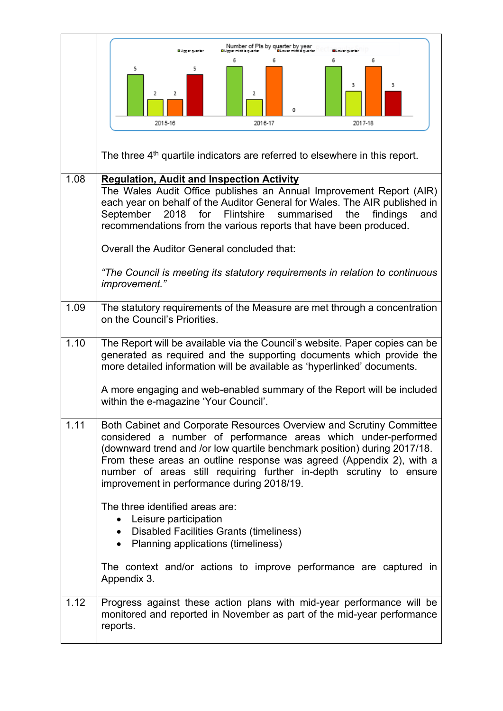|      | Number of PIs by quarter by year<br>OU go er quarte                                                                                                                                                                                                                                                                                                                                                             |
|------|-----------------------------------------------------------------------------------------------------------------------------------------------------------------------------------------------------------------------------------------------------------------------------------------------------------------------------------------------------------------------------------------------------------------|
|      | 6<br>5<br>5<br>з<br>2<br>2<br>2<br>2016-17<br>2015-16<br>2017-18                                                                                                                                                                                                                                                                                                                                                |
|      |                                                                                                                                                                                                                                                                                                                                                                                                                 |
|      | The three 4 <sup>th</sup> quartile indicators are referred to elsewhere in this report.                                                                                                                                                                                                                                                                                                                         |
| 1.08 | <b>Regulation, Audit and Inspection Activity</b><br>The Wales Audit Office publishes an Annual Improvement Report (AIR)<br>each year on behalf of the Auditor General for Wales. The AIR published in<br>September<br>2018<br>for Flintshire summarised<br>the<br>findings<br>and<br>recommendations from the various reports that have been produced.                                                          |
|      | Overall the Auditor General concluded that:                                                                                                                                                                                                                                                                                                                                                                     |
|      | "The Council is meeting its statutory requirements in relation to continuous<br>improvement."                                                                                                                                                                                                                                                                                                                   |
| 1.09 | The statutory requirements of the Measure are met through a concentration<br>on the Council's Priorities.                                                                                                                                                                                                                                                                                                       |
| 1.10 | The Report will be available via the Council's website. Paper copies can be<br>generated as required and the supporting documents which provide the<br>more detailed information will be available as 'hyperlinked' documents.                                                                                                                                                                                  |
|      | A more engaging and web-enabled summary of the Report will be included<br>within the e-magazine 'Your Council'.                                                                                                                                                                                                                                                                                                 |
| 1.11 | Both Cabinet and Corporate Resources Overview and Scrutiny Committee<br>considered a number of performance areas which under-performed<br>(downward trend and /or low quartile benchmark position) during 2017/18.<br>From these areas an outline response was agreed (Appendix 2), with a<br>number of areas still requiring further in-depth scrutiny to ensure<br>improvement in performance during 2018/19. |
|      | The three identified areas are:<br>Leisure participation<br>$\bullet$<br>• Disabled Facilities Grants (timeliness)<br>• Planning applications (timeliness)                                                                                                                                                                                                                                                      |
|      | The context and/or actions to improve performance are captured in<br>Appendix 3.                                                                                                                                                                                                                                                                                                                                |
| 1.12 | Progress against these action plans with mid-year performance will be<br>monitored and reported in November as part of the mid-year performance<br>reports.                                                                                                                                                                                                                                                     |

 $\overline{\phantom{0}}$ 

 $\mathsf{r}$